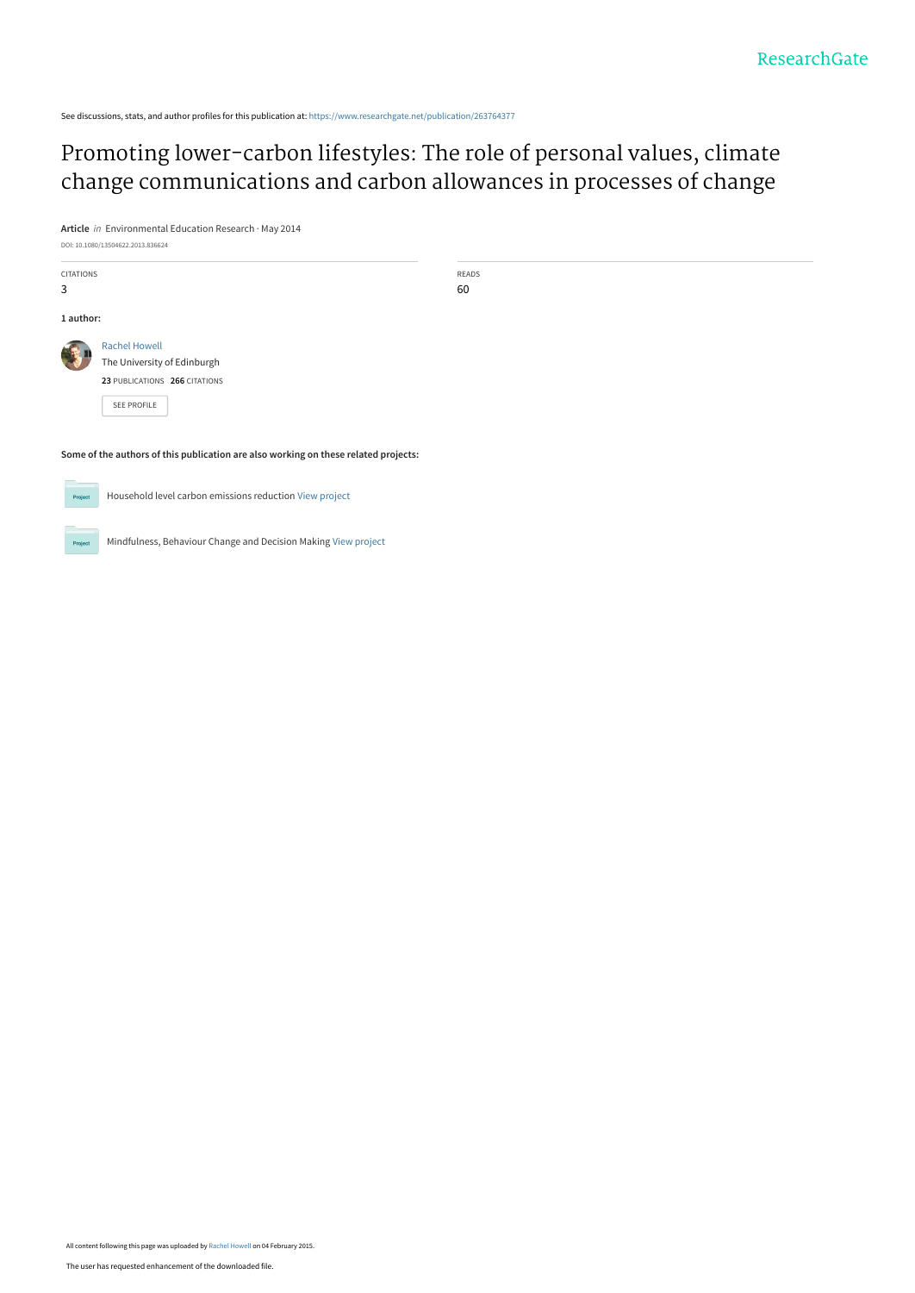See discussions, stats, and author profiles for this publication at: [https://www.researchgate.net/publication/263764377](https://www.researchgate.net/publication/263764377_Promoting_lower-carbon_lifestyles_The_role_of_personal_values_climate_change_communications_and_carbon_allowances_in_processes_of_change?enrichId=rgreq-3d220bd49a1ac6e9b3cc3421818ca835-XXX&enrichSource=Y292ZXJQYWdlOzI2Mzc2NDM3NztBUzoxOTMxNDE2NjA0OTE3ODVAMTQyMzA1OTk2ODg5Ng%3D%3D&el=1_x_2&_esc=publicationCoverPdf)

[Promoting lower-carbon lifestyles: The role of personal values, climate](https://www.researchgate.net/publication/263764377_Promoting_lower-carbon_lifestyles_The_role_of_personal_values_climate_change_communications_and_carbon_allowances_in_processes_of_change?enrichId=rgreq-3d220bd49a1ac6e9b3cc3421818ca835-XXX&enrichSource=Y292ZXJQYWdlOzI2Mzc2NDM3NztBUzoxOTMxNDE2NjA0OTE3ODVAMTQyMzA1OTk2ODg5Ng%3D%3D&el=1_x_3&_esc=publicationCoverPdf) change communications and carbon allowances in processes of change

**Article** in Environmental Education Research · May 2014 DOI: 10.1080/13504622.2013.836624

**Some of the authors of this publication are also working on these related projects:**



Household level carbon emissions reduction [View project](https://www.researchgate.net/project/Household-level-carbon-emissions-reduction?enrichId=rgreq-3d220bd49a1ac6e9b3cc3421818ca835-XXX&enrichSource=Y292ZXJQYWdlOzI2Mzc2NDM3NztBUzoxOTMxNDE2NjA0OTE3ODVAMTQyMzA1OTk2ODg5Ng%3D%3D&el=1_x_9&_esc=publicationCoverPdf)

.<br>Proj

Mindfulness, Behaviour Change and Decision Making [View project](https://www.researchgate.net/project/Mindfulness-Behaviour-Change-and-Decision-Making?enrichId=rgreq-3d220bd49a1ac6e9b3cc3421818ca835-XXX&enrichSource=Y292ZXJQYWdlOzI2Mzc2NDM3NztBUzoxOTMxNDE2NjA0OTE3ODVAMTQyMzA1OTk2ODg5Ng%3D%3D&el=1_x_9&_esc=publicationCoverPdf)